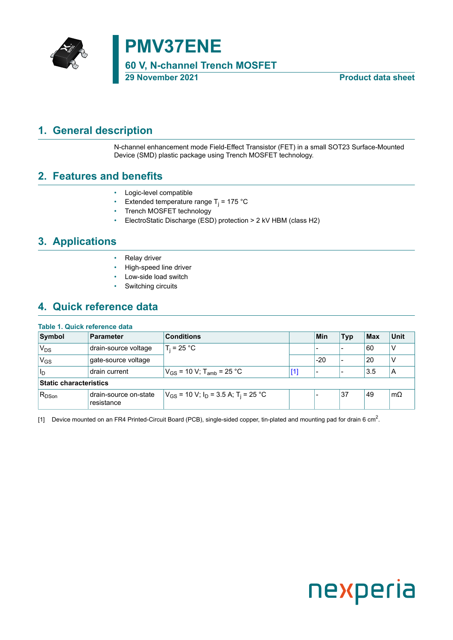

# **PMV37ENE**

**60 V, N-channel Trench MOSFET**

### <span id="page-0-1"></span>**1. General description**

<span id="page-0-0"></span>N-channel enhancement mode Field-Effect Transistor (FET) in a small SOT23 Surface-Mounted Device (SMD) plastic package using Trench MOSFET technology.

### <span id="page-0-2"></span>**2. Features and benefits**

- Logic-level compatible
- Extended temperature range T<sub>j</sub> = 175 °C
- Trench MOSFET technology
- ElectroStatic Discharge (ESD) protection > 2 kV HBM (class H2)

### <span id="page-0-3"></span>**3. Applications**

- Relay driver
- High-speed line driver
- Low-side load switch
- Switching circuits

### <span id="page-0-4"></span>**4. Quick reference data**

#### **Table 1. Quick reference data**

| Symbol                 | <b>Parameter</b>                    | <b>Conditions</b>                                               |     | Min                      | <b>Typ</b>               | <b>Max</b> | Unit      |
|------------------------|-------------------------------------|-----------------------------------------------------------------|-----|--------------------------|--------------------------|------------|-----------|
| 'V <sub>DS</sub>       | drain-source voltage                | $T_i = 25 °C$                                                   |     |                          |                          | 60         |           |
| 'V <sub>GS</sub>       | gate-source voltage                 |                                                                 |     | $-20$                    | $\overline{\phantom{0}}$ | 20         |           |
| ll <sub>D</sub>        | drain current                       | $V_{GS}$ = 10 V; T <sub>amb</sub> = 25 °C                       | [1] | $\overline{\phantom{0}}$ | $\overline{\phantom{0}}$ | 3.5        | A         |
| Static characteristics |                                     |                                                                 |     |                          |                          |            |           |
| $R_{DSon}$             | drain-source on-state<br>resistance | $V_{GS}$ = 10 V; I <sub>D</sub> = 3.5 A; T <sub>i</sub> = 25 °C |     |                          | 37                       | 49         | $m\Omega$ |

[1]  $\,$  Device mounted on an FR4 Printed-Circuit Board (PCB), single-sided copper, tin-plated and mounting pad for drain 6 cm $^2$ .

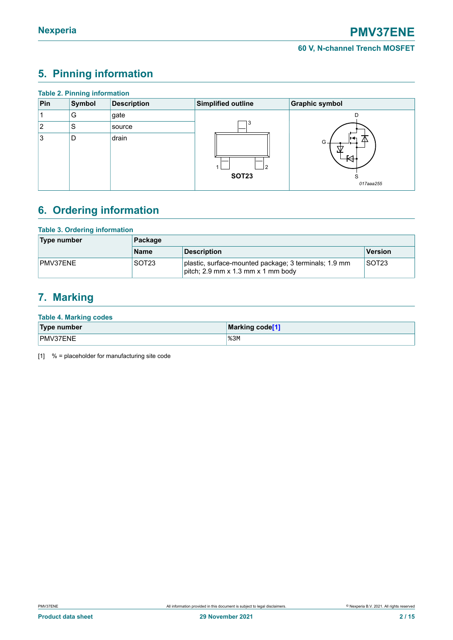### <span id="page-1-1"></span><span id="page-1-0"></span>**5. Pinning information**

| <b>Table 2. Pinning information</b> |        |                    |                    |                                |  |  |  |
|-------------------------------------|--------|--------------------|--------------------|--------------------------------|--|--|--|
| Pin                                 | Symbol | <b>Description</b> | Simplified outline | <b>Graphic symbol</b>          |  |  |  |
|                                     | G      | ∣gate              |                    | D                              |  |  |  |
| 2                                   | .S     | source             | د.                 |                                |  |  |  |
| Ι3                                  | D      | drain              | 2<br><b>SOT23</b>  | ⊩⊷<br>⚠<br>G<br>S<br>017aaa255 |  |  |  |

### <span id="page-1-2"></span>**6. Ordering information**

| <b>Table 3. Ordering information</b> |             |                                                                                             |                   |  |  |  |
|--------------------------------------|-------------|---------------------------------------------------------------------------------------------|-------------------|--|--|--|
| Type number                          | Package     |                                                                                             |                   |  |  |  |
|                                      | <b>Name</b> | <b>Description</b>                                                                          | Version           |  |  |  |
| <b>PMV37ENE</b>                      | SOT23       | plastic, surface-mounted package; 3 terminals; 1.9 mm<br>pitch; 2.9 mm x 1.3 mm x 1 mm body | SOT <sub>23</sub> |  |  |  |

### <span id="page-1-3"></span>**7. Marking**

#### **Table 4. Marking codes**

| Type number     | Marking code <sup>[1]</sup> |
|-----------------|-----------------------------|
| <b>PMV37ENE</b> | 83M                         |

[1] % = placeholder for manufacturing site code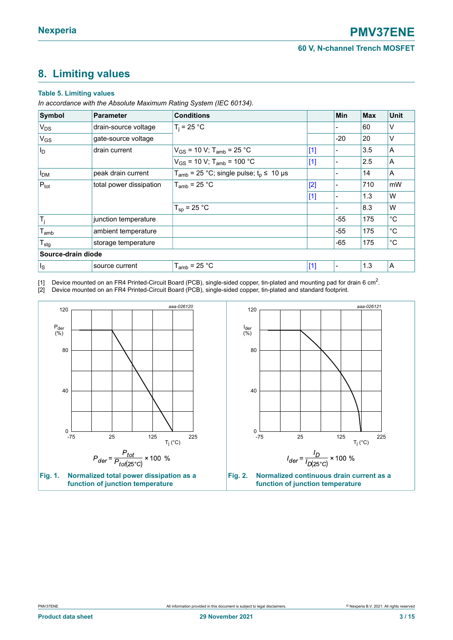### <span id="page-2-1"></span><span id="page-2-0"></span>**8. Limiting values**

#### **Table 5. Limiting values**

*In accordance with the Absolute Maximum Rating System (IEC 60134).*

| Symbol               | <b>Parameter</b>        | <b>Conditions</b>                              |       | <b>Min</b> | <b>Max</b> | <b>Unit</b>  |
|----------------------|-------------------------|------------------------------------------------|-------|------------|------------|--------------|
| $V_{DS}$             | drain-source voltage    | $T_i = 25 °C$                                  |       |            | 60         | V            |
| $V_{GS}$             | gate-source voltage     |                                                |       | $-20$      | 20         | ٧            |
| $ I_{\mathsf{D}} $   | drain current           | $V_{GS}$ = 10 V; T <sub>amb</sub> = 25 °C      | $[1]$ |            | 3.5        | A            |
|                      |                         | $V_{GS}$ = 10 V; T <sub>amb</sub> = 100 °C     | $[1]$ |            | 2.5        | A            |
| I <sub>DM</sub>      | peak drain current      | $T_{amb}$ = 25 °C; single pulse; $t_p$ ≤ 10 µs |       |            | 14         | A            |
| $P_{\text{tot}}$     | total power dissipation | $T_{amb}$ = 25 °C                              | [2]   |            | 710        | mW           |
|                      |                         |                                                | $[1]$ |            | 1.3        | W            |
|                      |                         | $T_{sp}$ = 25 °C                               |       |            | 8.3        | W            |
| $T_j$                | junction temperature    |                                                |       | $-55$      | 175        | °C           |
| $T_{amb}$            | ambient temperature     |                                                |       | $-55$      | 175        | °C           |
| $T_{\text{stg}}$     | storage temperature     |                                                |       | $-65$      | 175        | $^{\circ}$ C |
| Source-drain diode   |                         |                                                |       |            |            |              |
| $\vert$ <sub>s</sub> | source current          | $T_{amb}$ = 25 °C                              | $[1]$ |            | 1.3        | A            |

[1]  $\,$  Device mounted on an FR4 Printed-Circuit Board (PCB), single-sided copper, tin-plated and mounting pad for drain 6 cm $^2$ . [2] Device mounted on an FR4 Printed-Circuit Board (PCB), single-sided copper, tin-plated and standard footprint.

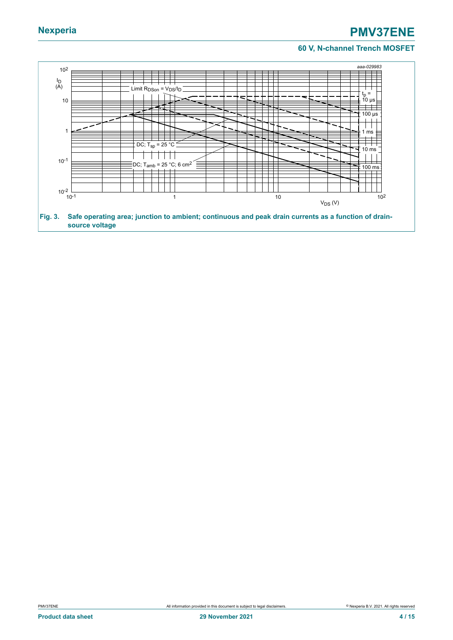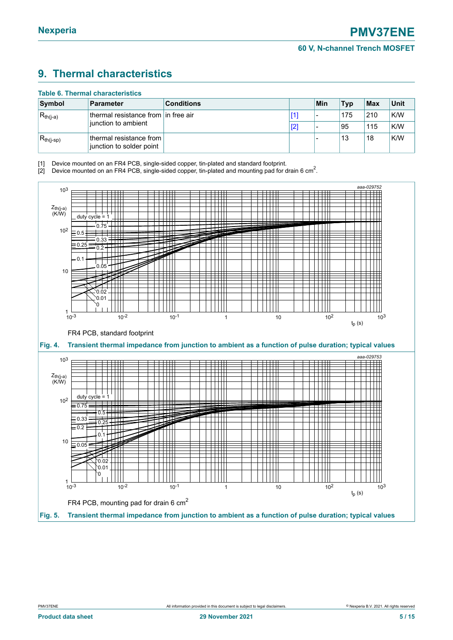### <span id="page-4-1"></span><span id="page-4-0"></span>**9. Thermal characteristics**

| <b>Table 6. Thermal characteristics</b> |                                                     |                   |  |                          |            |     |             |
|-----------------------------------------|-----------------------------------------------------|-------------------|--|--------------------------|------------|-----|-------------|
| Symbol                                  | <b>Parameter</b>                                    | <b>Conditions</b> |  | Min                      | <b>Typ</b> | Max | <b>Unit</b> |
| $R_{th(i-a)}$<br>junction to ambient    | thermal resistance from in free air                 |                   |  | $\overline{\phantom{a}}$ | 175        | 210 | K/W         |
|                                         |                                                     | [2]               |  | '95                      | 115        | K/W |             |
| $ R_{th(j-sp)}$                         | thermal resistance from<br>junction to solder point |                   |  |                          | 13         | 18  | K/W         |

[1] Device mounted on an FR4 PCB, single-sided copper, tin-plated and standard footprint.

[2] Device mounted on an FR4 PCB, single-sided copper, tin-plated and mounting pad for drain 6 cm<sup>2</sup>.

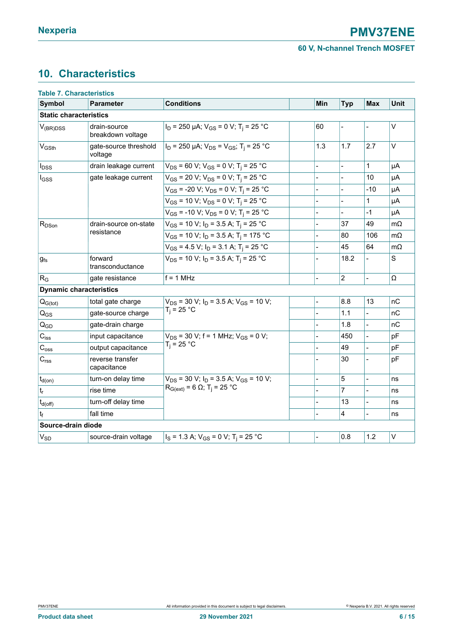## <span id="page-5-0"></span>**10. Characteristics**

| <b>Table 7. Characteristics</b> |                                   |                                                                |                |                |                |           |
|---------------------------------|-----------------------------------|----------------------------------------------------------------|----------------|----------------|----------------|-----------|
| Symbol                          | <b>Parameter</b>                  | <b>Conditions</b>                                              | Min            | <b>Typ</b>     | Max            | Unit      |
| <b>Static characteristics</b>   |                                   |                                                                |                |                |                |           |
| $V_{(BR)DSS}$                   | drain-source<br>breakdown voltage | $I_D$ = 250 µA; $V_{GS}$ = 0 V; T <sub>i</sub> = 25 °C         | 60             |                |                | V         |
| V <sub>GSth</sub>               | gate-source threshold<br>voltage  | $I_D$ = 250 µA; $V_{DS}$ = $V_{GS}$ ; T <sub>i</sub> = 25 °C   | 1.3            | 1.7            | 2.7            | V         |
| $I_{\text{DSS}}$                | drain leakage current             | $V_{DS}$ = 60 V; V <sub>GS</sub> = 0 V; T <sub>i</sub> = 25 °C |                |                | $\mathbf 1$    | μA        |
| lgss                            | gate leakage current              | $V_{GS}$ = 20 V; $V_{DS}$ = 0 V; T <sub>i</sub> = 25 °C        |                |                | 10             | μA        |
|                                 |                                   | $V_{GS}$ = -20 V; $V_{DS}$ = 0 V; T <sub>i</sub> = 25 °C       |                |                | -10            | μA        |
|                                 |                                   | $V_{GS}$ = 10 V; $V_{DS}$ = 0 V; T <sub>j</sub> = 25 °C        |                |                | 1              | μA        |
|                                 |                                   | $V_{GS}$ = -10 V; $V_{DS}$ = 0 V; T <sub>i</sub> = 25 °C       |                |                | $-1$           | μA        |
| $R_{DSon}$                      | drain-source on-state             | $V_{GS}$ = 10 V; $I_D$ = 3.5 A; T <sub>i</sub> = 25 °C         | $\overline{a}$ | 37             | 49             | $m\Omega$ |
|                                 | resistance                        | $V_{GS}$ = 10 V; $I_D$ = 3.5 A; T <sub>i</sub> = 175 °C        |                | 80             | 106            | $m\Omega$ |
|                                 |                                   | $V_{GS}$ = 4.5 V; $I_D$ = 3.1 A; T <sub>i</sub> = 25 °C        |                | 45             | 64             | $m\Omega$ |
| <b>gfs</b>                      | forward<br>transconductance       | $V_{DS}$ = 10 V; $I_D$ = 3.5 A; T <sub>i</sub> = 25 °C         |                | 18.2           |                | S         |
| $R_G$                           | gate resistance                   | $f = 1$ MHz                                                    | $\overline{a}$ | $\overline{2}$ | $\overline{a}$ | Ω         |
| <b>Dynamic characteristics</b>  |                                   |                                                                |                |                |                |           |
| $Q_{G(tot)}$                    | total gate charge                 | $V_{DS}$ = 30 V; $I_D$ = 3.5 A; $V_{GS}$ = 10 V;               | $\overline{a}$ | 8.8            | 13             | nС        |
| $Q_{GS}$                        | gate-source charge                | $T_i = 25 °C$                                                  |                | 1.1            |                | nC        |
| $Q_{GD}$                        | gate-drain charge                 |                                                                |                | 1.8            |                | nС        |
| C <sub>iss</sub>                | input capacitance                 | $V_{DS}$ = 30 V; f = 1 MHz; $V_{GS}$ = 0 V;                    |                | 450            |                | pF        |
| $C_{\rm oss}$                   | output capacitance                | $T_i = 25 °C$                                                  |                | 49             |                | pF        |
| $C_{rss}$                       | reverse transfer<br>capacitance   |                                                                |                | 30             |                | pF        |
| $t_{d(on)}$                     | turn-on delay time                | $V_{DS}$ = 30 V; $I_D$ = 3.5 A; $V_{GS}$ = 10 V;               |                | 5              |                | ns        |
| $t_{r}$                         | rise time                         | $R_{G(ext)} = 6 Ω$ ; T <sub>i</sub> = 25 °C                    |                | $\overline{7}$ |                | ns        |
| $t_{d(\text{off})}$             | turn-off delay time               |                                                                | $\overline{a}$ | 13             |                | ns        |
| $t_{\rm f}$                     | fall time                         |                                                                | $\overline{a}$ | $\overline{4}$ |                | ns        |
| Source-drain diode              |                                   |                                                                |                |                |                |           |
| V <sub>SD</sub>                 | source-drain voltage              | $I_S = 1.3$ A; $V_{GS} = 0$ V; T <sub>i</sub> = 25 °C          |                | 0.8            | 1.2            | $\vee$    |
|                                 |                                   |                                                                |                |                |                |           |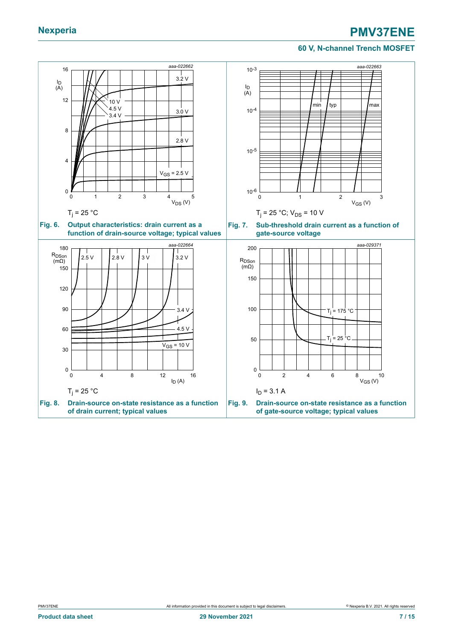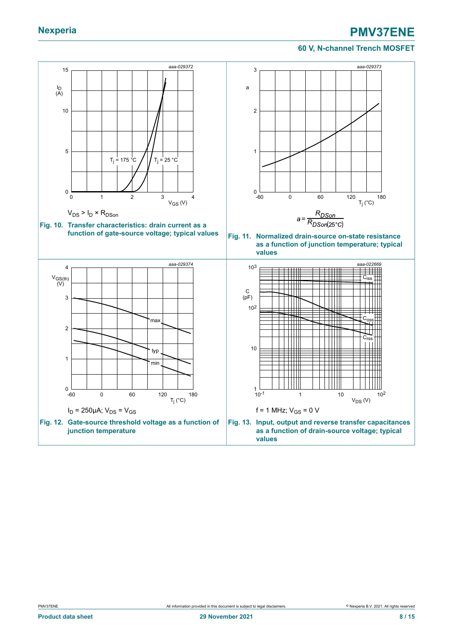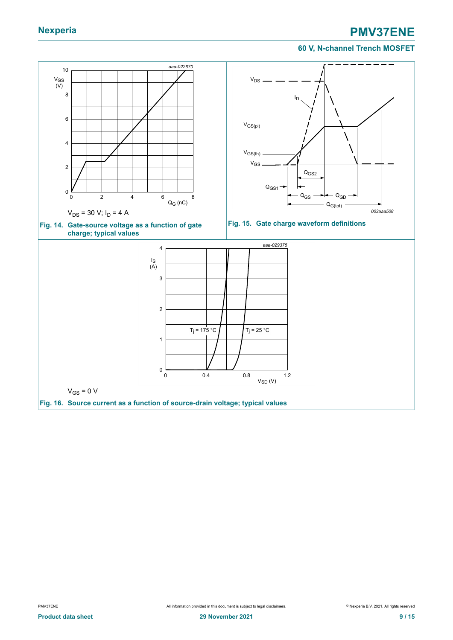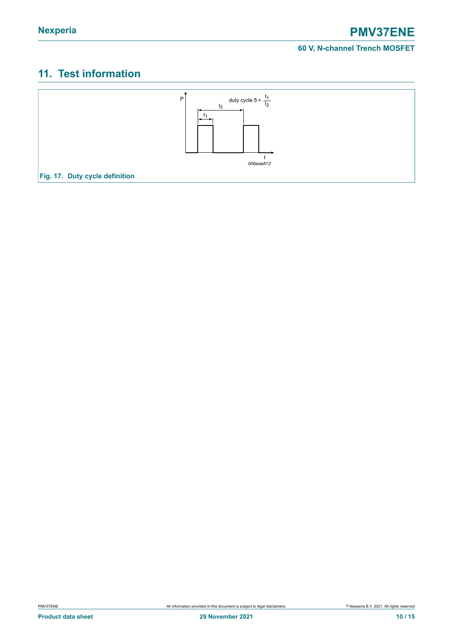## <span id="page-9-0"></span>**11. Test information**

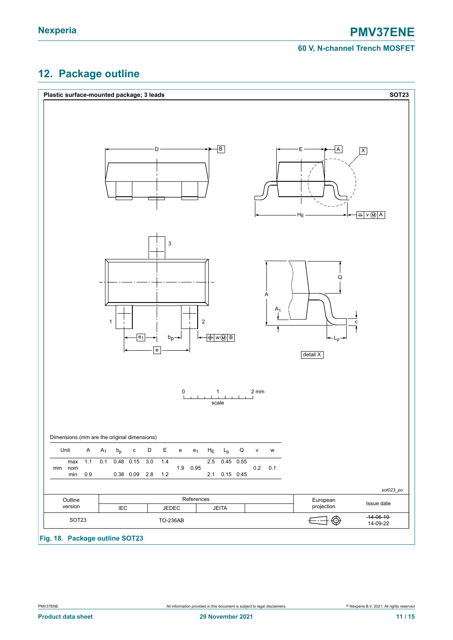### <span id="page-10-0"></span>**12. Package outline**

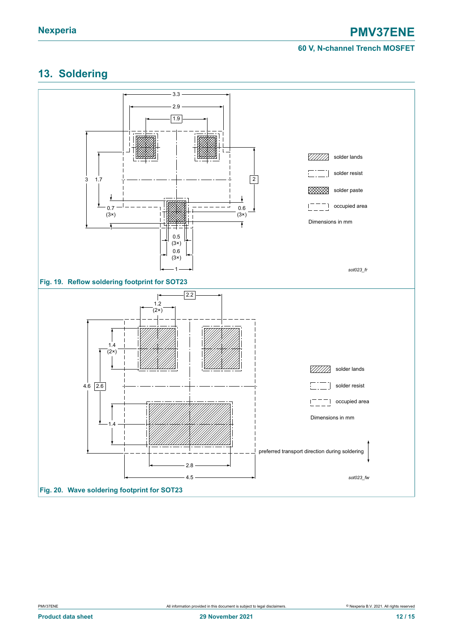## <span id="page-11-0"></span>**13. Soldering**

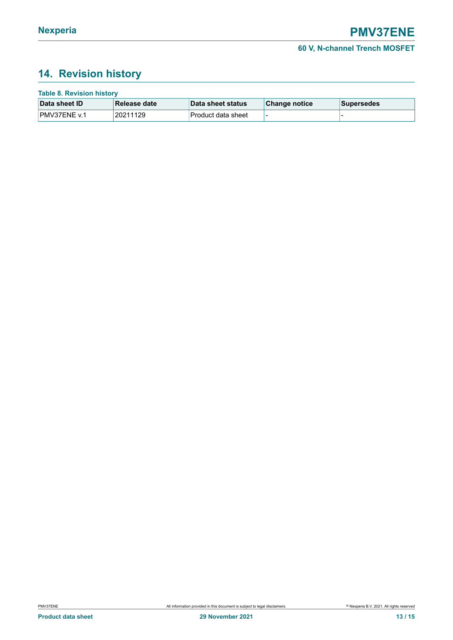## <span id="page-12-0"></span>**14. Revision history**

| <b>Table 8. Revision history</b> |               |                    |               |             |  |  |  |
|----------------------------------|---------------|--------------------|---------------|-------------|--|--|--|
| Data sheet ID                    | ∣Release date | ⊺Data sheet status | Change notice | ∣Supersedes |  |  |  |
| <b>PMV37ENE v.1</b>              | 20211129      | Product data sheet |               |             |  |  |  |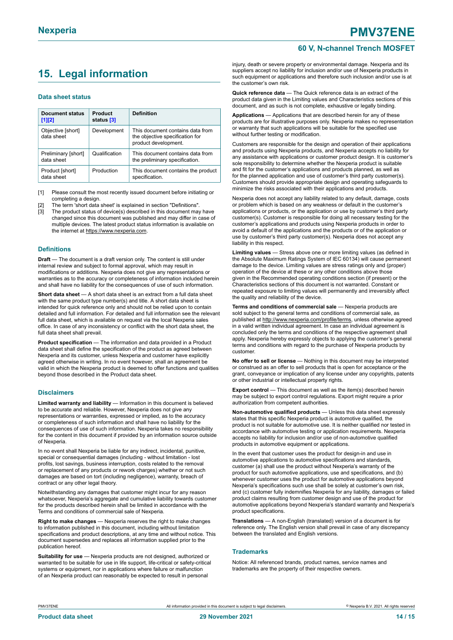## <span id="page-13-0"></span>**15. Legal information**

#### **Data sheet status**

| <b>Document status</b><br>$[1]$ [2] | Product<br>status [3] | <b>Definition</b>                                                                           |
|-------------------------------------|-----------------------|---------------------------------------------------------------------------------------------|
| Objective [short]<br>data sheet     | Development           | This document contains data from<br>the objective specification for<br>product development. |
| Preliminary [short]<br>data sheet   | Qualification         | This document contains data from<br>the preliminary specification.                          |
| Product [short]<br>data sheet       | Production            | This document contains the product<br>specification.                                        |

[1] Please consult the most recently issued document before initiating or completing a design.

The term 'short data sheet' is explained in section "Definitions".

[3] The product status of device(s) described in this document may have changed since this document was published and may differ in case of multiple devices. The latest product status information is available on the internet at [https://www.nexperia.com.](https://www.nexperia.com)

#### **Definitions**

**Draft** — The document is a draft version only. The content is still under internal review and subject to formal approval, which may result in modifications or additions. Nexperia does not give any representations or warranties as to the accuracy or completeness of information included herein and shall have no liability for the consequences of use of such information.

**Short data sheet** — A short data sheet is an extract from a full data sheet with the same product type number(s) and title. A short data sheet is intended for quick reference only and should not be relied upon to contain detailed and full information. For detailed and full information see the relevant full data sheet, which is available on request via the local Nexperia sales office. In case of any inconsistency or conflict with the short data sheet, the full data sheet shall prevail.

**Product specification** — The information and data provided in a Product data sheet shall define the specification of the product as agreed between Nexperia and its customer, unless Nexperia and customer have explicitly agreed otherwise in writing. In no event however, shall an agreement be valid in which the Nexperia product is deemed to offer functions and qualities beyond those described in the Product data sheet.

#### **Disclaimers**

**Limited warranty and liability** — Information in this document is believed to be accurate and reliable. However, Nexperia does not give any representations or warranties, expressed or implied, as to the accuracy or completeness of such information and shall have no liability for the consequences of use of such information. Nexperia takes no responsibility for the content in this document if provided by an information source outside of Nexperia.

In no event shall Nexperia be liable for any indirect, incidental, punitive, special or consequential damages (including - without limitation - lost profits, lost savings, business interruption, costs related to the removal or replacement of any products or rework charges) whether or not such damages are based on tort (including negligence), warranty, breach of contract or any other legal theory.

Notwithstanding any damages that customer might incur for any reason whatsoever, Nexperia's aggregate and cumulative liability towards customer for the products described herein shall be limited in accordance with the Terms and conditions of commercial sale of Nexperia.

**Right to make changes** — Nexperia reserves the right to make changes to information published in this document, including without limitation specifications and product descriptions, at any time and without notice. This document supersedes and replaces all information supplied prior to the publication hereof.

**Suitability for use** — Nexperia products are not designed, authorized or warranted to be suitable for use in life support, life-critical or safety-critical systems or equipment, nor in applications where failure or malfunction of an Nexperia product can reasonably be expected to result in personal

injury, death or severe property or environmental damage. Nexperia and its suppliers accept no liability for inclusion and/or use of Nexperia products in such equipment or applications and therefore such inclusion and/or use is at the customer's own risk.

**Quick reference data** — The Quick reference data is an extract of the product data given in the Limiting values and Characteristics sections of this document, and as such is not complete, exhaustive or legally binding.

**Applications** — Applications that are described herein for any of these products are for illustrative purposes only. Nexperia makes no representation or warranty that such applications will be suitable for the specified use without further testing or modification.

Customers are responsible for the design and operation of their applications and products using Nexperia products, and Nexperia accepts no liability for any assistance with applications or customer product design. It is customer's sole responsibility to determine whether the Nexperia product is suitable and fit for the customer's applications and products planned, as well as for the planned application and use of customer's third party customer(s). Customers should provide appropriate design and operating safeguards to minimize the risks associated with their applications and products.

Nexperia does not accept any liability related to any default, damage, costs or problem which is based on any weakness or default in the customer's applications or products, or the application or use by customer's third party customer(s). Customer is responsible for doing all necessary testing for the customer's applications and products using Nexperia products in order to avoid a default of the applications and the products or of the application or use by customer's third party customer(s). Nexperia does not accept any liability in this respect.

**Limiting values** — Stress above one or more limiting values (as defined in the Absolute Maximum Ratings System of IEC 60134) will cause permanent damage to the device. Limiting values are stress ratings only and (proper) operation of the device at these or any other conditions above those given in the Recommended operating conditions section (if present) or the Characteristics sections of this document is not warranted. Constant or repeated exposure to limiting values will permanently and irreversibly affect the quality and reliability of the device.

**Terms and conditions of commercial sale** — Nexperia products are sold subject to the general terms and conditions of commercial sale, as published at [http://www.nexperia.com/profile/terms,](http://www.nexperia.com/profile/terms) unless otherwise agreed in a valid written individual agreement. In case an individual agreement is concluded only the terms and conditions of the respective agreement shall apply. Nexperia hereby expressly objects to applying the customer's general terms and conditions with regard to the purchase of Nexperia products by customer.

**No offer to sell or license** — Nothing in this document may be interpreted or construed as an offer to sell products that is open for acceptance or the grant, conveyance or implication of any license under any copyrights, patents or other industrial or intellectual property rights.

**Export control** — This document as well as the item(s) described herein may be subject to export control regulations. Export might require a prior authorization from competent authorities.

**Non-automotive qualified products** — Unless this data sheet expressly states that this specific Nexperia product is automotive qualified, the product is not suitable for automotive use. It is neither qualified nor tested in accordance with automotive testing or application requirements. Nexperia accepts no liability for inclusion and/or use of non-automotive qualified products in automotive equipment or applications.

In the event that customer uses the product for design-in and use in automotive applications to automotive specifications and standards, customer (a) shall use the product without Nexperia's warranty of the product for such automotive applications, use and specifications, and (b) whenever customer uses the product for automotive applications beyond Nexperia's specifications such use shall be solely at customer's own risk, and (c) customer fully indemnifies Nexperia for any liability, damages or failed product claims resulting from customer design and use of the product for automotive applications beyond Nexperia's standard warranty and Nexperia's product specifications.

**Translations** — A non-English (translated) version of a document is for reference only. The English version shall prevail in case of any discrepancy between the translated and English versions.

#### **Trademarks**

Notice: All referenced brands, product names, service names and trademarks are the property of their respective owners.